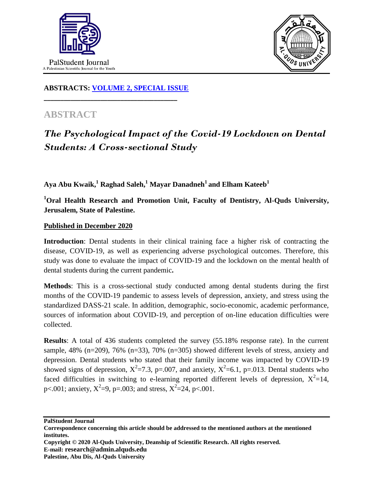



**ABSTRACTS: [VOLUME 2, SPECIAL ISSUE](https://www.thelancet.com/journals/lancet/issue/vol393nonull/PIIS0140-6736(19)X0012-4)**

**\_\_\_\_\_\_\_\_\_\_\_\_\_\_\_\_\_\_\_\_\_\_\_\_\_\_\_\_\_\_\_\_\_\_\_\_\_\_\_\_**

## **ABSTRACT**

## *The Psychological Impact of the Covid-19 Lockdown on Dental Students: A Cross-sectional Study*

**Aya Abu Kwaik,<sup>1</sup> Raghad Saleh,<sup>1</sup> Mayar Danadneh<sup>1</sup>and Elham Kateeb<sup>1</sup>**

**<sup>1</sup>Oral Health Research and Promotion Unit, Faculty of Dentistry, Al-Quds University, Jerusalem, State of Palestine.**

## **Published in December 2020**

**Introduction**: Dental students in their clinical training face a higher risk of contracting the disease, COVID-19, as well as experiencing adverse psychological outcomes. Therefore, this study was done to evaluate the impact of COVID-19 and the lockdown on the mental health of dental students during the current pandemic**.**

**Methods**: This is a cross-sectional study conducted among dental students during the first months of the COVID-19 pandemic to assess levels of depression, anxiety, and stress using the standardized DASS-21 scale. In addition, demographic, socio-economic, academic performance, sources of information about COVID-19, and perception of on-line education difficulties were collected.

**Results**: A total of 436 students completed the survey (55.18% response rate). In the current sample,  $48\%$  (n=209),  $76\%$  (n=33),  $70\%$  (n=305) showed different levels of stress, anxiety and depression. Dental students who stated that their family income was impacted by COVID-19 showed signs of depression,  $X^2 = 7.3$ , p=.007, and anxiety,  $X^2 = 6.1$ , p=.013. Dental students who faced difficulties in switching to e-learning reported different levels of depression,  $X^2=14$ , p<.001; anxiety,  $X^2=9$ , p=.003; and stress,  $X^2=24$ , p<.001.

**PalStudent Journal**

**Copyright © 2020 Al-Quds University, Deanship of Scientific Research. All rights reserved. E-mail: research@admin.alquds.edu Palestine, Abu Dis, Al-Quds University**

**Correspondence concerning this article should be addressed to the mentioned authors at the mentioned institutes.**